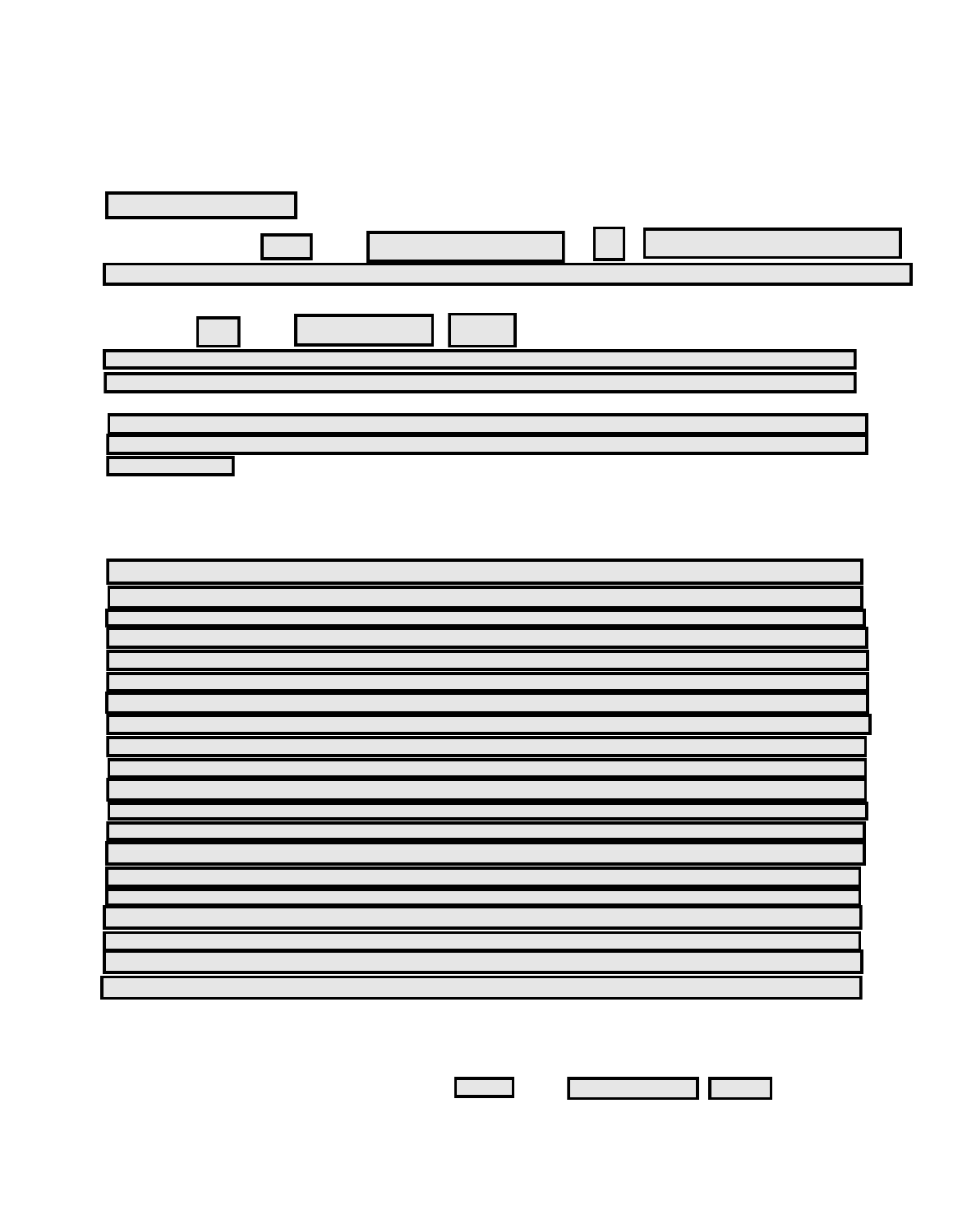## AFFIDAVIT OF SURVIVING JOINT TENANT

| <b>STATE OF OKLAHOMA</b><br>SS:                                                                                                                                                                                                                                                    |
|------------------------------------------------------------------------------------------------------------------------------------------------------------------------------------------------------------------------------------------------------------------------------------|
| <b>COUNTY</b>                                                                                                                                                                                                                                                                      |
| day of<br>Now on this<br>20                                                                                                                                                                                                                                                        |
| of lawful age, being first duly sworn, depose and say:                                                                                                                                                                                                                             |
| day of<br>That on the<br>(Year), there was conveyed from                                                                                                                                                                                                                           |
|                                                                                                                                                                                                                                                                                    |
| Grantor(s), unto                                                                                                                                                                                                                                                                   |
|                                                                                                                                                                                                                                                                                    |
| by Deed, as joint tenants, and not as tenants in common, with full right of<br>survivorship, all their right, title, interest, estate and every claim and demand, both in law and in<br>equity, in and to all the following described real property situated in Washington County, |
| Oklahoma, to wit:<br>(Insert legal description of property here)                                                                                                                                                                                                                   |
|                                                                                                                                                                                                                                                                                    |
|                                                                                                                                                                                                                                                                                    |
|                                                                                                                                                                                                                                                                                    |
|                                                                                                                                                                                                                                                                                    |
|                                                                                                                                                                                                                                                                                    |
|                                                                                                                                                                                                                                                                                    |
|                                                                                                                                                                                                                                                                                    |
|                                                                                                                                                                                                                                                                                    |
|                                                                                                                                                                                                                                                                                    |
|                                                                                                                                                                                                                                                                                    |
|                                                                                                                                                                                                                                                                                    |
| To have and to hold the same as joint tenants, and not as tenants in common, with the fee simple                                                                                                                                                                                   |

| To have and to hold the same as joint tenants, and not as tenants in common, with the ree simple |
|--------------------------------------------------------------------------------------------------|
| title in the survivor, the heirs and assigns of the survivor, together with all and singular the |
| tenements, hereditaments, and appurtenances thereunto belonging or in any wise appertaining      |
| $\Delta$ day of<br>$\Gamma$ (Year) in<br>forever; which said Deed was recorded on the            |